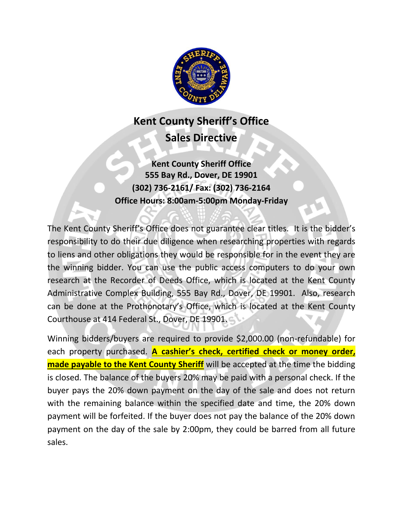

# **Kent County Sheriff's Office Sales Directive**

**Kent County Sheriff Office 555 Bay Rd., Dover, DE 19901 (302) 736-2161/ Fax: (302) 736-2164 Office Hours: 8:00am-5:00pm Monday-Friday**

The Kent County Sheriff's Office does not guarantee clear titles. It is the bidder's responsibility to do their due diligence when researching properties with regards to liens and other obligations they would be responsible for in the event they are the winning bidder. You can use the public access computers to do your own research at the Recorder of Deeds Office, which is located at the Kent County Administrative Complex Building, 555 Bay Rd., Dover, DE 19901. Also, research can be done at the Prothonotary's Office, which is located at the Kent County Courthouse at 414 Federal St., Dover, DE 19901.

Winning bidders/buyers are required to provide \$2,000.00 (non-refundable) for each property purchased. **A cashier's check, certified check or money order, made payable to the Kent County Sheriff** will be accepted at the time the bidding is closed. The balance of the buyers 20% may be paid with a personal check. If the buyer pays the 20% down payment on the day of the sale and does not return with the remaining balance within the specified date and time, the 20% down payment will be forfeited. If the buyer does not pay the balance of the 20% down payment on the day of the sale by 2:00pm, they could be barred from all future sales.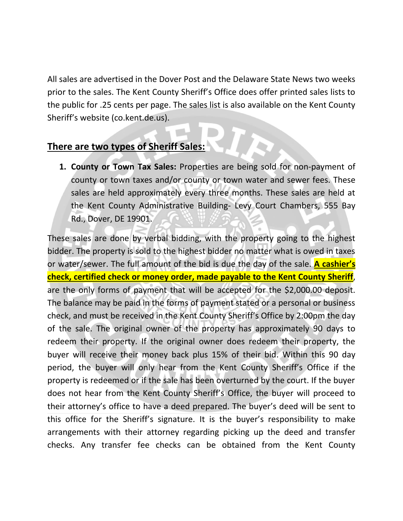All sales are advertised in the Dover Post and the Delaware State News two weeks prior to the sales. The Kent County Sheriff's Office does offer printed sales lists to the public for .25 cents per page. The sales list is also available on the Kent County Sheriff's website (co.kent.de.us).

### **There are two types of Sheriff Sales:**

**1. County or Town Tax Sales:** Properties are being sold for non-payment of county or town taxes and/or county or town water and sewer fees. These sales are held approximately every three months. These sales are held at the Kent County Administrative Building- Levy Court Chambers, 555 Bay Rd., Dover, DE 19901.

These sales are done by verbal bidding, with the property going to the highest bidder. The property is sold to the highest bidder no matter what is owed in taxes or water/sewer. The full amount of the bid is due the day of the sale. **A cashier's check, certified check or money order, made payable to the Kent County Sheriff**, are the only forms of payment that will be accepted for the \$2,000.00 deposit. The balance may be paid in the forms of payment stated or a personal or business check, and must be received in the Kent County Sheriff's Office by 2:00pm the day of the sale. The original owner of the property has approximately 90 days to redeem their property. If the original owner does redeem their property, the buyer will receive their money back plus 15% of their bid. Within this 90 day period, the buyer will only hear from the Kent County Sheriff's Office if the property is redeemed or if the sale has been overturned by the court. If the buyer does not hear from the Kent County Sheriff's Office, the buyer will proceed to their attorney's office to have a deed prepared. The buyer's deed will be sent to this office for the Sheriff's signature. It is the buyer's responsibility to make arrangements with their attorney regarding picking up the deed and transfer checks. Any transfer fee checks can be obtained from the Kent County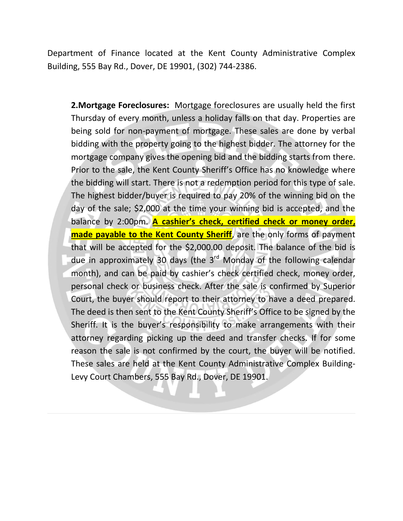Department of Finance located at the Kent County Administrative Complex Building, 555 Bay Rd., Dover, DE 19901, (302) 744-2386.

**2.Mortgage Foreclosures:** Mortgage foreclosures are usually held the first Thursday of every month, unless a holiday falls on that day. Properties are being sold for non-payment of mortgage. These sales are done by verbal bidding with the property going to the highest bidder. The attorney for the mortgage company gives the opening bid and the bidding starts from there. Prior to the sale, the Kent County Sheriff's Office has no knowledge where the bidding will start. There is not a redemption period for this type of sale. The highest bidder/buyer is required to pay 20% of the winning bid on the day of the sale; \$2,000 at the time your winning bid is accepted, and the balance by 2:00pm. **A cashier's check, certified check or money order, made payable to the Kent County Sheriff**, are the only forms of payment that will be accepted for the \$2,000.00 deposit. The balance of the bid is due in approximately 30 days (the 3<sup>rd</sup> Monday of the following calendar month), and can be paid by cashier's check certified check, money order, personal check or business check. After the sale is confirmed by Superior Court, the buyer should report to their attorney to have a deed prepared. The deed is then sent to the Kent County Sheriff's Office to be signed by the Sheriff. It is the buyer's responsibility to make arrangements with their attorney regarding picking up the deed and transfer checks. If for some reason the sale is not confirmed by the court, the buyer will be notified. These sales are held at the Kent County Administrative Complex Building-Levy Court Chambers, 555 Bay Rd., Dover, DE 19901.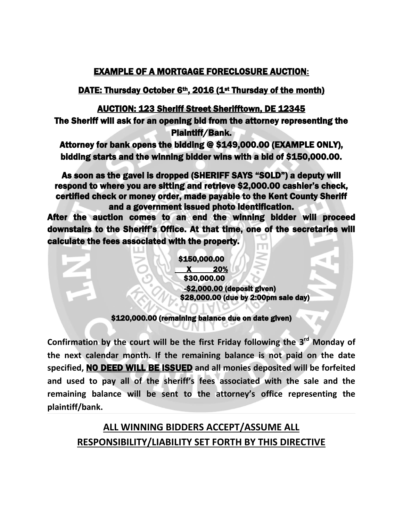#### EXAMPLE OF A MORTGAGE FORECLOSURE AUCTION**:**

#### DATE: Thursday October 6<sup>th</sup>, 2016 (1<sup>st</sup> Thursday of the month)

#### AUCTION: 123 Sheriff Street Sherifftown, DE 12345

The Sheriff will ask for an opening bid from the attorney representing the Plaintiff/Bank.

Attorney for bank opens the bidding @ \$149,000.00 (EXAMPLE ONLY), bidding starts and the winning bidder wins with a bid of \$150,000.00.

As soon as the gavel is dropped (SHERIFF SAYS "SOLD") a deputy will respond to where you are sitting and retrieve \$2,000.00 cashier's check, certified check or money order, made payable to the Kent County Sheriff and a government issued photo identification.

After the auction comes to an end the winning bidder will proceed downstairs to the Sheriff's Office. At that time, one of the secretaries will calculate the fees associated with the property.

> \$150,000.00 X 20% \$30,000.00 -\$2,000.00 (deposit given) \$28,000.00 (due by 2:00pm sale day)

#### \$120,000.00 (remaining balance due on date given) l

**Confirmation by the court will be the first Friday following the 3 rd Monday of the next calendar month. If the remaining balance is not paid on the date specified,** NO DEED WILL BE ISSUED **and all monies deposited will be forfeited and used to pay all of the sheriff's fees associated with the sale and the remaining balance will be sent to the attorney's office representing the plaintiff/bank.**

## **ALL WINNING BIDDERS ACCEPT/ASSUME ALL RESPONSIBILITY/LIABILITY SET FORTH BY THIS DIRECTIVE**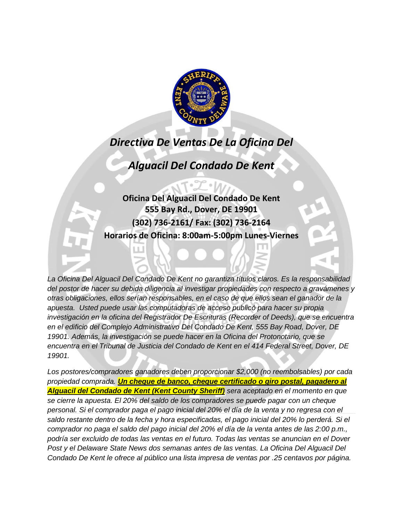

## *Directiva De Ventas De La Oficina Del*

*Alguacil Del Condado De Kent*

**Oficina Del Alguacil Del Condado De Kent 555 Bay Rd., Dover, DE 19901 (302) 736-2161/ Fax: (302) 736-2164 Horarios de Oficina: 8:00am-5:00pm Lunes-Viernes**

*La Oficina Del Alguacil Del Condado De Kent no garantiza títulos claros. Es la responsabilidad del postor de hacer su debida diligencia al investigar propiedades con respecto a gravámenes y otras obligaciones, ellos serían responsables, en el caso de que ellos sean el ganador de la apuesta. Usted puede usar las computadoras de acceso publicό para hacer su propia investigaciόn en la oficina del Registrador De Escrituras (Recorder of Deeds), que se encuentra en el edificio del Complejo Administrativo Del Condado De Kent, 555 Bay Road, Dover, DE 19901. Además, la investigaciόn se puede hacer en la Oficina del Protonotario, que se encuentra en el Tribunal de Justicia del Condado de Kent en el 414 Federal Street, Dover, DE 19901.*

*Los postores/compradores ganadores deben proporcionar \$2,000 (no reembolsables) por cada propiedad comprada. Un cheque de banco, cheque certificado o giro postal, pagadero al Alguacil del Condado de Kent (Kent County Sheriff) sera aceptado en el momento en que se cierre la apuesta. El 20% del saldo de los compradores se puede pagar con un cheque personal. Si el comprador paga el pago inicial del 20% el día de la venta y no regresa con el saldo restante dentro de la fecha y hora especificadas, el pago inicial del 20% lo perderá. Si el comprador no paga el saldo del pago inicial del 20% el día de la venta antes de las 2:00 p.m., podría ser excluido de todas las ventas en el futuro. Todas las ventas se anuncian en el Dover Post y el Delaware State News dos semanas antes de las ventas. La Oficina Del Alguacil Del Condado De Kent le ofrece al público una lista impresa de ventas por .25 centavos por página.*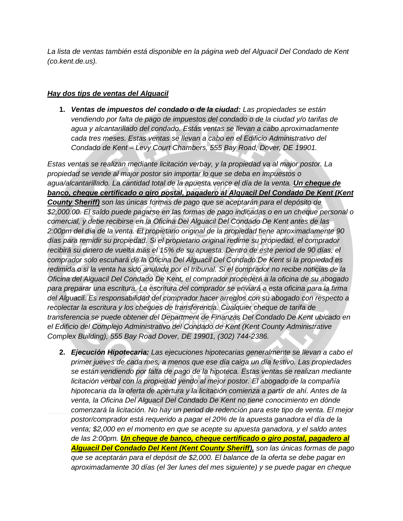*La lista de ventas también está disponible en la página web del Alguacil Del Condado de Kent (co.kent.de.us).*

#### *Hay dos tips de ventas del Alguacil*

**1.** *Ventas de impuestos del condado o de la ciudad: Las propiedades se están vendiendo por falta de pago de impuestos del condado o de la ciudad y/o tarifas de agua y alcantarillado del condado. Estás ventas se llevan a cabo aproximadamente cada tres meses. Estas ventas se llevan a cabo en el Edificio Administrativo del Condado de Kent – Levy Court Chambers, 555 Bay Road, Dover, DE 19901.*

*Estas ventas se realizan mediante licitaciόn verbay, y la propiedad va al major postor. La propiedad se vende al major postor sin importar lo que se deba en impuestos o agua/alcantarillado. La cantidad total de la apuesta vence el día de la venta. Un cheque de banco, cheque certificado o giro postal, pagadero al Alguacil Del Condado De Kent (Kent County Sheriff) son las únicas formas de pago que se aceptarán para el depόsito de \$2,000.00. El saldo puede pagarse en las formas de pago indicadas o en un cheque personal o comercial, y debe recibirse en la Oficina Del Alguacil Del Condado De Kent antes de las 2:00pm del día de la venta. El propietario original de la propiedad tiene aproximadamente 90 días para remidir su propiedad. Si el propietario original redime su propiedad, el comprador recibirá su dinero de vuelta más el 15% de su apuesta. Dentro de este period de 90 días, el comprador solo escuhará de la Oficina Del Alguacil Del Condado De Kent si la propiedad es redimida o si la venta ha sido anulada por el tribunal. Si el comprador no recibe noticias de la Oficina del Alguacil Del Condado De Kent, el comprador procederá a la oficina de su abogado para preparar una escritura. La escritura del comprador se enviará a esta oficina para la firma del Alguacil. Es responsabilidad del comprador hacer arreglos con su abogado con respecto a recolectar la escritura y los cheques de transferencia. Cualquier cheque de tarifa de transferencia se puede obtener del Department de Finanzas Del Condado De Kent ubicado en el Edificio del Complejo Administrativo del Condado de Kent (Kent County Administrative Complex Building), 555 Bay Road Dover, DE 19901, (302) 744-2386.*

**2.** *Ejecuciόn Hipotecaria: Las ejecuciones hipotecarias generalmente se llevan a cabo el primer jueves de cada mes, a menos que ese día caiga un día festivo. Las propiedades se están vendiendo por falta de pago de la hipoteca. Estas ventas se realizan mediante licitaciόn verbal con la propiedad yendo al mejor postor. El abogado de la compañía hipotecaria da la oferta de apertura y la licitaciόn comienza a partir de ahí. Antes de la venta, la Oficina Del Alguacil Del Condado De Kent no tiene conocimiento en dόnde comenzará la licitaciόn. No hay un period de redenciόn para este tipo de venta. El mejor postor/comprador está requerido a pagar el 20% de la apuesta ganadora el día de la venta; \$2,000 en el momento en que se acepte su apuesta ganadora, y el saldo antes de las 2:00pm. Un cheque de banco, cheque certificado o giro postal, pagadero al Alguacil Del Condado Del Kent (Kent County Sheriff), son las únicas formas de pago que se aceptarán para el depόsit de \$2,000. El balance de la oferta se debe pagar en aproximadamente 30 días (el 3er lunes del mes siguiente) y se puede pagar en cheque*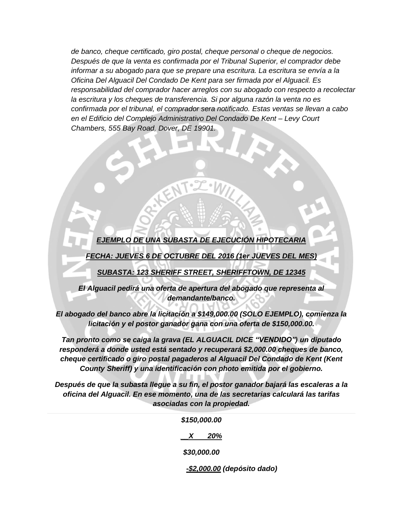*de banco, cheque certificado, giro postal, cheque personal o cheque de negocios. Después de que la venta es confirmada por el Tribunal Superior, el comprador debe informar a su abogado para que se prepare una escritura. La escritura se envía a la Oficina Del Alguacil Del Condado De Kent para ser firmada por el Alguacil. Es responsabilidad del comprador hacer arreglos con su abogado con respecto a recolectar la escritura y los cheques de transferencia. Si por alguna razόn la venta no es confirmada por el tribunal, el comprador sera notificado. Estas ventas se llevan a cabo en el Edificio del Complejo Administrativo Del Condado De Kent – Levy Court Chambers, 555 Bay Road, Dover, DE 19901.*

#### *EJEMPLO DE UNA SUBASTA DE EJECUCIÓN HIPOTECARIA*

*FECHA: JUEVES 6 DE OCTUBRE DEL 2016 (1er JUEVES DEL MES)*

*SUBASTA: 123 SHERIFF STREET, SHERIFFTOWN, DE 12345*

*El Alguacil pedirá una oferta de apertura del abogado que representa al demandante/banco.* 

*El abogado del banco abre la licitaciόn a \$149,000.00 (SOLO EJEMPLO), comienza la licitaciόn y el postor ganador gana con una oferta de \$150,000.00.* 

*Tan pronto como se caiga la grava (EL ALGUACIL DICE "VENDIDO") un diputado responderá a donde usted está sentado y recuperará \$2,000.00 cheques de banco, cheque certificado o giro postal pagaderos al Alguacil Del Condado de Kent (Kent County Sheriff) y una identificaciόn con photo emitida por el gobierno.* 

*Después de que la subasta llegue a su fin, el postor ganador bajará las escaleras a la oficina del Alguacil. En ese momento, una de las secretarias calculará las tarifas asociadas con la propiedad.* 

| \$150,000.00 |         |  |
|--------------|---------|--|
|              | $X$ 20% |  |
| \$30,000.00  |         |  |

 *-\$2,000.00 (depόsito dado)*